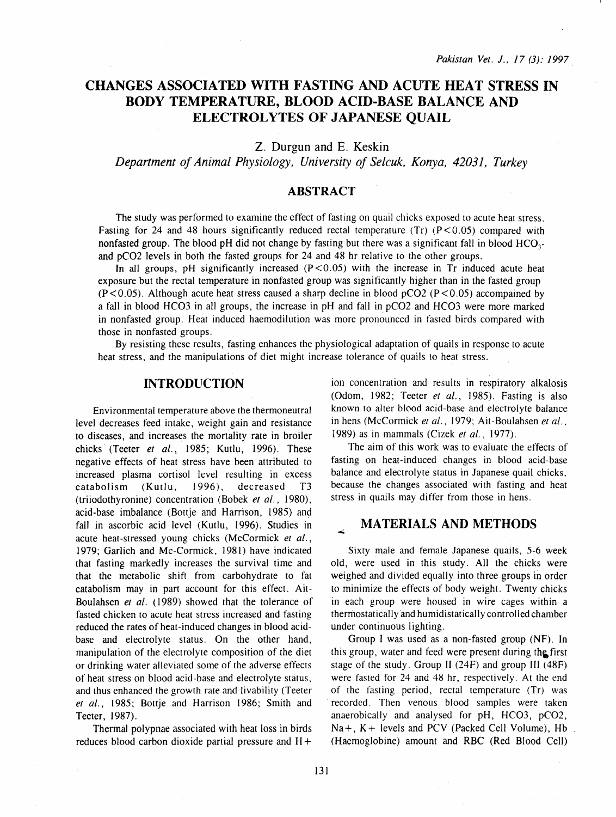# **CHANGES ASSOCIATED WITH FASTING AND ACUTE HEAT STRESS IN BODY TEMPERATURE, BLOOD ACID-BASE BALANCE AND ELECTROLYTES OF JAPANESE QUAIL**

Z. Durgun and E. Keskin

*Department of Animal Physiology, University of Selcuk, Konya, 42031, Turkey* 

#### **ABSTRACT**

The study was performed to examine the effect of fasting on quail chicks exposed to acute heat stress. Fasting for 24 and 48 hours significantly reduced rectal temperature (Tr)  $(P < 0.05)$  compared with nonfasted group. The blood pH did not change by fasting but there was a significant fall in blood HCO<sub>3</sub>and pC02 levels in both the fasted groups for 24 and 48 hr relative to the other groups.

In all groups, pH significantly increased  $(P < 0.05)$  with the increase in Tr induced acute heat exposure but the rectal temperature in nonfasted group was significantly higher than in the fasted group  $(P<0.05)$ . Although acute heat stress caused a sharp decline in blood pCO2 (P<0.05) accompained by a fall in blood HC03 in all groups, the increase in pH and fall in pC02 and HC03 were more marked in nonfasted group. Heat induced haemodilution was more pronounced in fasted birds compared with those in nonfasted groups.

By resisting these results, fasting enhances the physiological adaptation of quails in response to acute heat stress, and the manipulations of diet might increase tolerance of quails to heat stress.

## **INTRODUCTION**

Environmental temperature above the thermoneutral level decreases feed intake, weight gain and resistance to diseases, and increases the mortality rate in broiler chicks (Teeter *et al.*, 1985; Kutlu, 1996). These negative effects of heat stress have been attributed to increased plasma cortisol level resulting in excess catabolism (Kutlu, 1996), decreased T3 (triiodothyronine) concentration (Bobek *et al.,* 1980), acid-base imbalance (Bortje and Harrison, 1985) and fall in ascorbic acid level (Kutlu, 1996). Studies in acute heat-stressed young chicks (McCormick *et al.,*  1979; Garlich and Mc-Cormick, 1981) have indicated that fasting markedly increases the survival time and that the metabolic shift from carbohydrate to fat catabolism may in part account for this effect. Ait-Boulahsen *et al.* (1989) showed that the tolerance of fasted chicken to acute heat stress increased and fasting reduced the rates of heat-induced changes in blood acidbase and electrolyte status. On the other hand, manipulation of the electrolyte composition of the diet or drinking water alleviated some of the adverse effects of heat stress on blood acid-base and electrolyte status, and thus enhanced the growth rate and livability (Teeter et al., 1985; Bottje and Harrison 1986; Smith and Teeter, 1987).

Thermal polypnae associated with heat loss in birds reduces blood carbon dioxide partial pressure and  $H +$ 

ion concentration and results in respiratory alkalosis (Odom, 1982; Teeter *et al.,* 1985). Fasting is also known to alter blood acid-base and electrolyte balance in hens (McCormick *et al.,* 1979; Ait-Boulahsen *et al.,*  1989) as in mammals (Cizek *et al.,* 1977).

The aim of this work was to evaluate the effects of fasting on heat-induced changes in blood acid-base balance and electrolyte status in Japanese quail chicks, because the changes associated with fasting and heat stress in quails may differ from those in hens.

## **MATERIALS AND METHODS**

Sixty male and female Japanese quails, 5-6 week old, were used in this study. All the chicks were weighed and divided equally into three groups in order to minimize the effects of body weight. Twenty chicks in each group were housed in wire cages within a thermostatically and humidistatically controlled chamber under continuous lighting.

Group I was used as a non-fasted group (NF). In this group, water and feed were present during the first stage of the study. Group II  $(24F)$  and group III  $(48F)$ were fasted for 24 and 48 hr, respectively. At the end of the fasting period, rectal temperature (Tr) was recorded. Then venous blood samples were taken anaerobically and analysed for pH, HC03, pC02,  $Na +$ ,  $K +$  levels and PCV (Packed Cell Volume), Hb (Haemoglobine) amount and RBC (Red Blood Cell)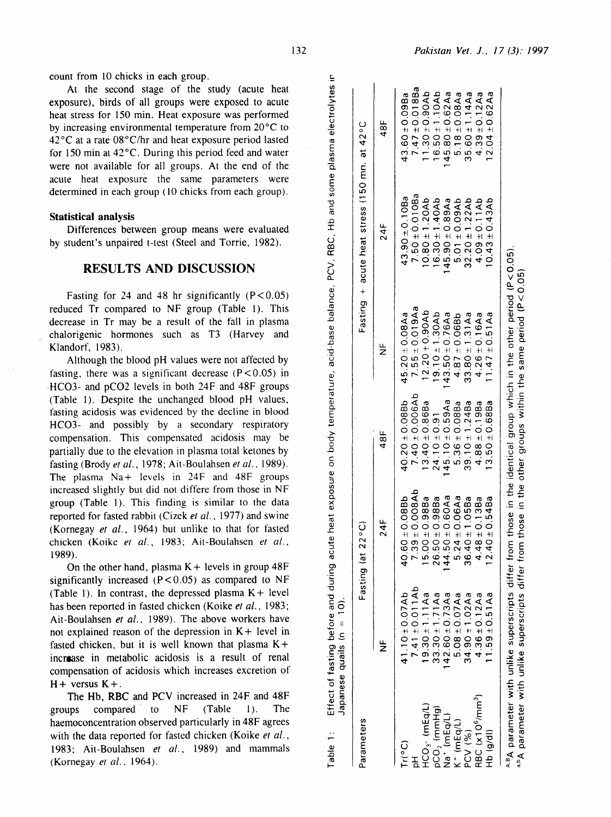Table

count from lO chicks in each group.

At the second stage of the study (acute heat exposure), birds of all groups were exposed to acute heat stress for 150 min. Heat exposure was performed by increasing environmental temperature from 20°C to 42°C at a rate 08°C/hr and heat exposure period lasted for 150 min at  $42^{\circ}$ C. During this period feed and water were not available for all groups. At the end of the acute heat exposure the same parameters were determined in each group (10 chicks from each group).

#### Statistical analysis

Differences between group means were evaluated by student's unpaired t-test (Steel and Torrie, 1982).

## RESULTS AND DISCUSSION

Fasting for 24 and 48 hr significantly  $(P < 0.05)$ reduced Tr compared to NF group (Table 1). This decrease in Tr may be a result of the fall in plasma chalorigenic hormones such as T3 (Harvey and Klandorf, 1983).

Although the blood pH values were not affected by fasting, there was a significant decrease  $(P < 0.05)$  in ·HC03- and pC02 levels in both 24F and 48F groups (Table 1). Despite the unchanged blood pH values, fasting acidosis was evidenced by the decline in blood HC03- and possibly by a secondary respiratory compensation. This compensated acidosis may be partially due to the elevation in plasma total ketones by fasting (Brody *et al.,* 1978; Ait-Boulahsen *et al.,* 1989). The plasma  $Na +$  levels in 24F and 48F groups increased slightly but did not differe from those in NF group (Table 1). This finding is similar to the data reported for fasted rabbit (Cizek *et al.,* 1977) and swine (Kornegay *et* al., 1964) but unlike to that for fasted chicken (Koike *er al.,* 1983; Ait-Boulahsen *er al.,*  1989).

On the other hand, plasma  $K +$  levels in group 48F significantly increased  $(P < 0.05)$  as compared to NF (Table 1). In contrast, the depressed plasma  $K +$  level has been reported in fasted chicken (Koike *et* al., 1983; Ait-Boulahsen *et* al., 1989). The above workers have not explained reason of the depression in  $K +$  level in fasted chicken, but it is well known that plasma  $K +$ incraase in metabolic acidosis is a result of renal compensation of acidosis which increases excretion of  $H +$  versus  $K +$ .

The Hb, RBC and PCV increased in 24F and 48F groups compared to NF (Table 1). The haemoconcentration observed particularly in 48F agrees with the data reported for fasted chicken (Koike *et al.,*  1983; Ait-Boulahsen *et a/.,* 1989) and mammals (Kornegay *er al ..* 1964).

| Parameters                                         |                      | Fasting (at 22°C)        |                     |                      | Fasting + acute heat stress (150 mn. at 42°C |                      |
|----------------------------------------------------|----------------------|--------------------------|---------------------|----------------------|----------------------------------------------|----------------------|
|                                                    | $\frac{1}{2}$        | 24F                      | 48F                 | $\frac{1}{Z}$        | $24$ F                                       | 48F                  |
| (Ll <sub>o</sub> C)                                | $41.10 \pm 0.07Ab$   | $40.60 \pm 0.088$        | $40.20 \pm 0.088b$  | 45.20 ± 0.08Aa       | $43.90 \pm 0.10$ Ba                          | $43.60 \pm 0.09$ Ba  |
|                                                    | $7.41 \pm 0.011$ Ab  | $7.39 \pm 0.008$ Ab      | $7.40 \pm 0.006Ab$  | 7.55 $\pm$ 0.019Aa   | $7.50 \pm 0.010$ Ba                          | $7.47 \pm 0.018Ba$   |
| $HCO3$ (mEq/L)                                     | $19.30 \pm 1.11$ Aa  | $00 + 0.988a$<br>LΩ      | $13.40 \pm 0.86$ Ba | $12.20 \pm 0.90$ Ab  | $10.80 \pm 1.20Ab$                           | $11.30 \pm 0.90$ Ab  |
|                                                    | $33.30 \pm 1.71$ Aa  | $50 \pm 0.98$ Ba<br>26.  | $24.10 \pm 0.91$    | $19.10 \pm 1.30Ab$   | $16.30 \pm 1.40$ Ab                          | $16.50 \pm 1.10Ab$   |
| pCO <sub>2</sub> (mmHg)<br>Na <sup>+</sup> (mEq/L) | $142.60 \pm 0.73$ Aa | 44.50±0.60Aa             | $45.10 \pm 0.59$ Aa | $143.50 \pm 0.76$ Aa | $45.90 \pm 0.89$ Aa                          | $145.80 \pm 0.62$ Aa |
| $K^+$ (mEq/L)                                      | $5.08 \pm 0.07$ Aa   | $.24 \pm 0.06$ Aa<br>ιó  | $5.36 \pm 0.08$ Ba  | $4.87 \pm 0.068b$    | $5.01 \pm 0.09$ Ab                           | $5.18 \pm 0.08$ Aa   |
| PCV (%)                                            | $34.90 \pm 1.02$ Aa  | $-40 \pm 1.05$ Ba<br>36. | $39.10 \pm 1.24Ba$  | $33.80 \pm 1.31$ Aa  | $32.20 \pm 1.22$ Ab                          | $35.60 \pm 1.14$ Aa  |
| RBC (x10 <sup>6</sup> /mm <sup>3</sup> )           | $4.36 \pm 0.12$ Aa   | $.48 \pm 0.138a$         | $4.88 \pm 0.19$ Ba  | $4.26 \pm 0.16$ Aa   | $4.09 \pm 0.11$ Ab                           | $4.39 \pm 0.12$ Aa   |
| Hb (g/dl)                                          | $1.59 \pm 0.51$ Aa   | $40 \pm 0.54$ Ba         | $13.50 \pm 0.68$ Ba | $1.47 \pm 0.51$ Aa   | $0.43 \pm 0.43$ Ab                           | $12.04 \pm 0.62$ Aa  |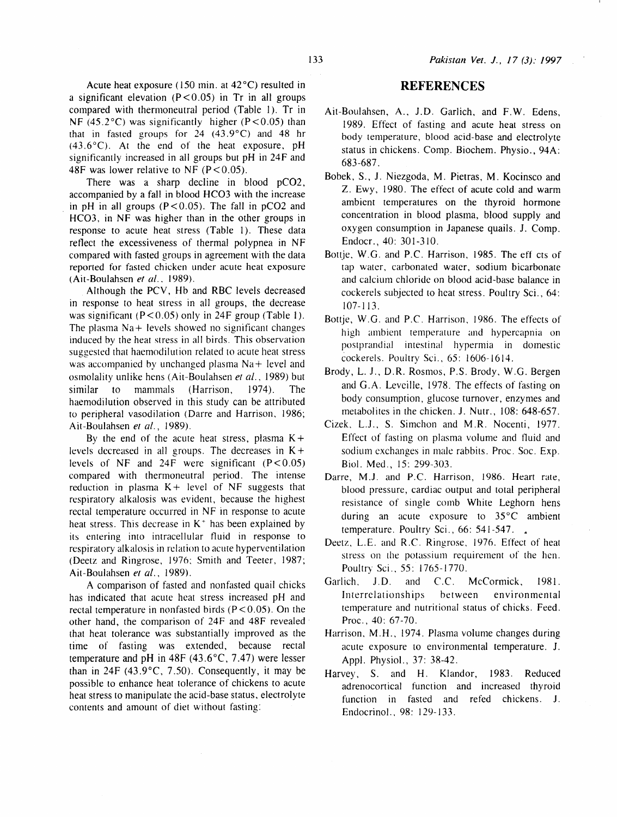Acute heat exposure ( $150 \text{ min.}$  at  $42^{\circ}$ C) resulted in a significant elevation  $(P < 0.05)$  in Tr in all groups compared with thermoneutral period (Table I). Tr in NF (45.2 $^{\circ}$ C) was significantly higher (P < 0.05) than that in fasted groups for  $24$  (43.9°C) and 48 hr (43.6°C). At the end of the heat exposure, pH significantly increased in all groups but pH in 24F and 48F was lower relative to NF  $(P< 0.05)$ .

There was a sharp decline in blood pC02, accompanied by a fall in blood HC03 with the increase in pH in all groups  $(P<0.05)$ . The fall in pCO2 and HC03, in NF was higher than in the other groups in response to acute heat stress (Table 1). These data retlect the excessiveness of thermal polypnea in NF compared with fasted groups in agreement with the data reported for fasted chicken under acute heat exposure (Ait-Boulahsen *et a/ ..* 1989).

Although the PCV, Hb and RBC levels decreased in response to heat stress in all groups, the decrease was significant ( $P < 0.05$ ) only in 24F group (Table 1). The plasma  $Na+$  levels showed no significant changes induced by the heat stress in all birds. This observation suggested that haemodilution related to acute heat stress was accompanied by unchanged plasma  $Na +$  level and osmolality unlike hens (Ait-Boulahsen et al., 1989) but similar to mammals (Harrison, 1974). The haemodilution observed in this study can be attributed to peripheral vasodilation (Darre and Harrison, 1986; Ait-Boulahsen et al., 1989).

By the end of the acute heat stress, plasma  $K +$ levels decreased in all groups. The decreases in  $K +$ levels of NF and  $24F$  were significant (P<0.05) compared with thermoneutral period. The intense reduction in plasma  $K +$  level of NF suggests that respiratory alkalosis was evident, because the highest rectal temperature occurred in NF in response to acute heat stress. This decrease in  $K^+$  has been explained by its entering into intracellular tluid in response to respiratory alkalosis in relation to acute hyperventilation (Deetz and Ringrose, 1976; Smith and Teeter, 1987; Ait-Boulahsen *et* al., 1989).

A comparison of fasted and nonfasted quail chicks has indicated that acute heat stress increased pH and rectal temperature in nonfasted birds ( $P < 0.05$ ). On the other hand, the comparison of 24F and 48F revealed· that heat tolerance was substantially improved as the time of fasting was extended, because rectal temperature and pH in 48F (43.6°C, 7.47) were lesser than in 24F  $(43.9^{\circ}C, 7.50)$ . Consequently, it may be possible to enhance heat tolerance of chickens to acute heat stress to manipulate the acid-base status, electrolyte contents and amount of diet without fasting:

### **REFERENCES**

- Ait-Boulahsen, A., J.D. Garlich, and F.W. Edens, 1989. Effect of fasting and acute heat stress on body temperature, blood acid-base and electrolyte status in chickens. Comp. Biochem. Physio., 94A: 683-687.
- Bobek, S., J. Niezgoda, M. Pietras, M. Kocinsco and Z. Ewy, 1980. The effect of acute cold and warm ambient temperatures on the thyroid hormone concentration in blood plasma, blood supply and oxygen consumption in Japanese quails. J. Comp. Endocr., 40: 301-310.
- Bottje. W.G. and P.C. Harrison, 1985. The eff cts of tap water, carbonated water, sodium bicarbonate and calcium chloride on blood acid-base balance in cockerels subjected to heat stress. Poultry Sci., 64: 107-113.
- Bottje, W.G. and P.C. Harrison, 1986. The effects of high ambient temperature and hypercapnia on postprandial intestinal hypermia in domestic cockerels. Poultry Sci., 65: 1606-1614.
- Brody, L. J., D.R. Rosmos, P.S. Brody, W.G. Bergen and G .A. Leveille, 1978. The effects of fasting on body consumption, glucose turnover, enzymes and metabolites in the chicken. J. Nutr., 108: 648-657.
- Cizek, L.J., S. Simchon and M.R. Nocenti, 1977. Effect of fasting on plasma volume and tluid and sodium exchanges in male rabbits. Proc. Soc. Exp. Bioi. Med., 15: 299-303.
- Darre, M.J. and P.C. Harrison, 1986. Heart rate, blood pressure, cardiac output and total peripheral resistance of single comb White Leghorn hens during an acute exposure to 35°C ambient temperature. Poultry Sci., 66: 541-547.
- Deetz. L.E. and R.C. Ringrose. 1976. Effect of heat stress on the potassium requirement of the hen. Poultry Sci., 55: 1765-1770.
- Garlich, J.D. and C.C. McCormick, 1981. Interrelationships between environmental temperature and nutritional status of chicks. Feed. Proc., 40: 67-70.
- Harrison, M.H., 1974. Plasma volume changes during acute exposure to environmental temperature. J. Appl. Physiol., 37: 38-42.
- Harvey, S. and H. Klandor, 1983. Reduced adrenocortical function and increased thyroid function in fasted and refed chickens. J. Endocrinol.. 98: 129-133.